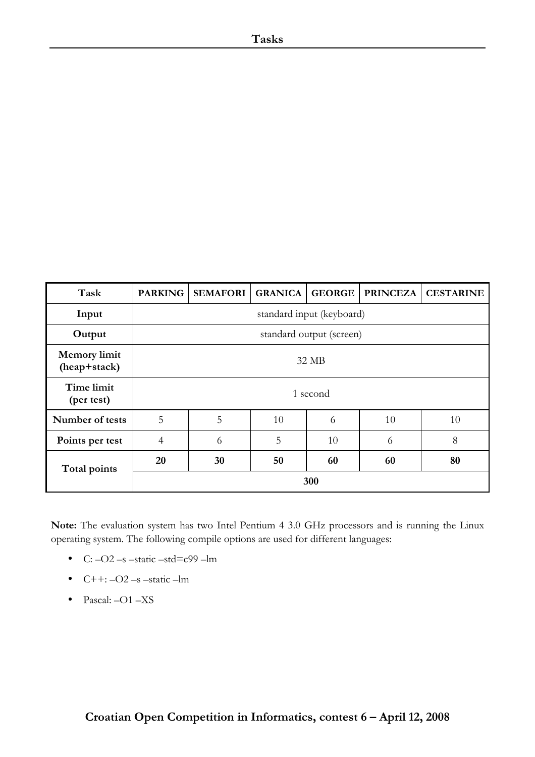| Task                                | <b>PARKING</b>            | <b>SEMAFORI</b> | <b>GRANICA</b> | <b>GEORGE</b> | <b>PRINCEZA</b> | <b>CESTARINE</b> |
|-------------------------------------|---------------------------|-----------------|----------------|---------------|-----------------|------------------|
| Input                               | standard input (keyboard) |                 |                |               |                 |                  |
| Output                              | standard output (screen)  |                 |                |               |                 |                  |
| <b>Memory</b> limit<br>(heap+stack) | 32 MB                     |                 |                |               |                 |                  |
| Time limit<br>(per test)            | 1 second                  |                 |                |               |                 |                  |
| Number of tests                     | 5                         | 5               | 10             | 6             | 10              | 10               |
| Points per test                     | $\overline{4}$            | 6               | 5              | 10            | 6               | 8                |
| Total points                        | 20                        | 30              | 50             | 60            | 60              | 80               |
|                                     | 300                       |                 |                |               |                 |                  |

**Note:** The evaluation system has two Intel Pentium 4 3.0 GHz processors and is running the Linux operating system. The following compile options are used for different languages:

- C:  $-O2$  –s –static –std=c99 –lm
- $\bullet$  C++:  $-O2$  –s –static –lm
- Pascal: -O1 -XS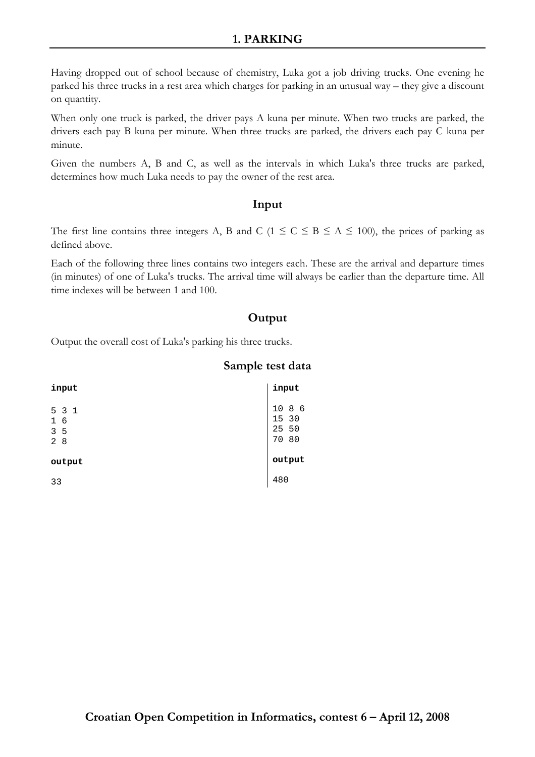## **1. PARKING**

Having dropped out of school because of chemistry, Luka got a job driving trucks. One evening he parked his three trucks in a rest area which charges for parking in an unusual way – they give a discount on quantity.

When only one truck is parked, the driver pays A kuna per minute. When two trucks are parked, the drivers each pay B kuna per minute. When three trucks are parked, the drivers each pay C kuna per minute.

Given the numbers A, B and C, as well as the intervals in which Luka's three trucks are parked, determines how much Luka needs to pay the owner of the rest area.

## **Input**

The first line contains three integers A, B and C ( $1 \le C \le B \le A \le 100$ ), the prices of parking as defined above.

Each of the following three lines contains two integers each. These are the arrival and departure times (in minutes) of one of Luka's trucks. The arrival time will always be earlier than the departure time. All time indexes will be between 1 and 100.

## **Output**

Output the overall cost of Luka's parking his three trucks.

## **Sample test data**

| input                                              | input                                  |
|----------------------------------------------------|----------------------------------------|
| 5 3 1<br>$\mathbf{1}$<br>6<br>3 <sub>5</sub><br>28 | $10$<br>8 6<br>15 30<br>25 50<br>70 80 |
| output                                             | output                                 |
| 33                                                 | 480                                    |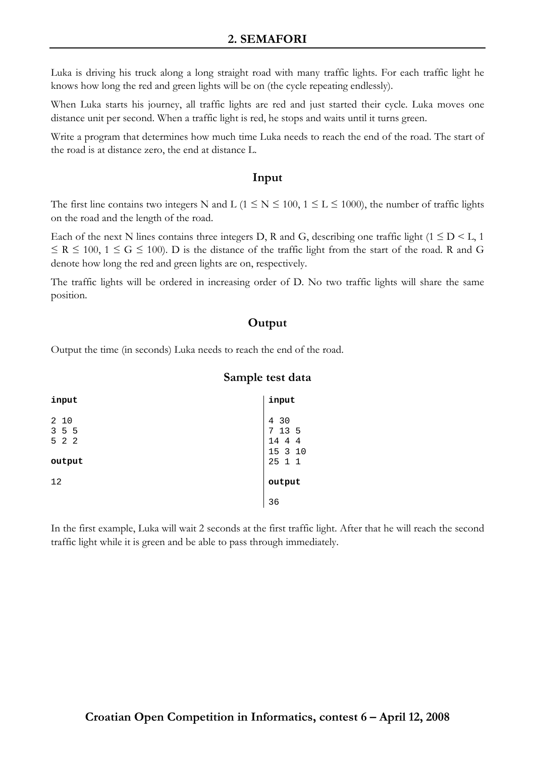## **2. SEMAFORI**

Luka is driving his truck along a long straight road with many traffic lights. For each traffic light he knows how long the red and green lights will be on (the cycle repeating endlessly).

When Luka starts his journey, all traffic lights are red and just started their cycle. Luka moves one distance unit per second. When a traffic light is red, he stops and waits until it turns green.

Write a program that determines how much time Luka needs to reach the end of the road. The start of the road is at distance zero, the end at distance L.

#### **Input**

The first line contains two integers N and L ( $1 \le N \le 100$ ,  $1 \le L \le 1000$ ), the number of traffic lights on the road and the length of the road.

Each of the next N lines contains three integers D, R and G, describing one traffic light ( $1 \leq D \leq L$ ,  $1$ )  $\le$  R  $\le$  100, 1  $\le$  G  $\le$  100). D is the distance of the traffic light from the start of the road. R and G denote how long the red and green lights are on, respectively.

The traffic lights will be ordered in increasing order of D. No two traffic lights will share the same position.

## **Output**

Output the time (in seconds) Luka needs to reach the end of the road.

#### **Sample test data**

| input                  | input                               |
|------------------------|-------------------------------------|
| 2 10<br>3 5 5<br>5 2 2 | 4 30<br>7 13 5<br>14 4 4<br>15 3 10 |
| output                 | 25 1 1                              |
| 12                     | output                              |
|                        | 36                                  |

In the first example, Luka will wait 2 seconds at the first traffic light. After that he will reach the second traffic light while it is green and be able to pass through immediately.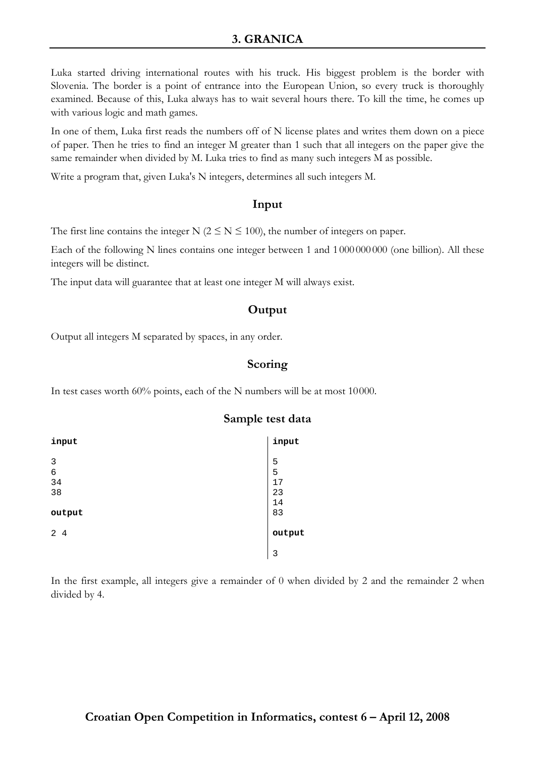## **3. GRANICA**

Luka started driving international routes with his truck. His biggest problem is the border with Slovenia. The border is a point of entrance into the European Union, so every truck is thoroughly examined. Because of this, Luka always has to wait several hours there. To kill the time, he comes up with various logic and math games.

In one of them, Luka first reads the numbers off of N license plates and writes them down on a piece of paper. Then he tries to find an integer M greater than 1 such that all integers on the paper give the same remainder when divided by M. Luka tries to find as many such integers M as possible.

Write a program that, given Luka's N integers, determines all such integers M.

## **Input**

The first line contains the integer N ( $2 \le N \le 100$ ), the number of integers on paper.

Each of the following N lines contains one integer between 1 and 1 000 000 000 (one billion). All these integers will be distinct.

The input data will guarantee that at least one integer M will always exist.

## **Output**

Output all integers M separated by spaces, in any order.

## **Scoring**

In test cases worth 60% points, each of the N numbers will be at most 10000.

| input                         | input                    |
|-------------------------------|--------------------------|
| $\mathbf{3}$<br>6<br>34<br>38 | 5<br>5<br>17<br>23<br>14 |
| output                        | 83                       |
| 24                            | output                   |
|                               | 3                        |

### **Sample test data**

In the first example, all integers give a remainder of 0 when divided by 2 and the remainder 2 when divided by 4.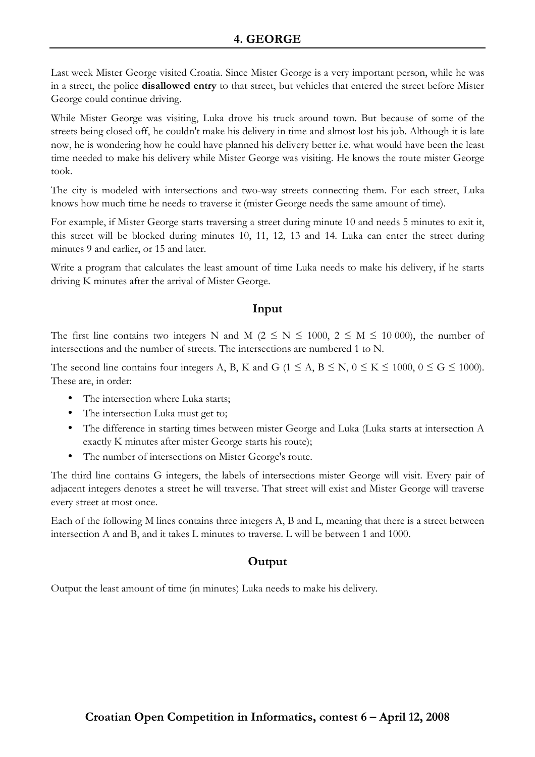# **4. GEORGE**

Last week Mister George visited Croatia. Since Mister George is a very important person, while he was in a street, the police **disallowed entry** to that street, but vehicles that entered the street before Mister George could continue driving.

While Mister George was visiting, Luka drove his truck around town. But because of some of the streets being closed off, he couldn't make his delivery in time and almost lost his job. Although it is late now, he is wondering how he could have planned his delivery better i.e. what would have been the least time needed to make his delivery while Mister George was visiting. He knows the route mister George took.

The city is modeled with intersections and two-way streets connecting them. For each street, Luka knows how much time he needs to traverse it (mister George needs the same amount of time).

For example, if Mister George starts traversing a street during minute 10 and needs 5 minutes to exit it, this street will be blocked during minutes 10, 11, 12, 13 and 14. Luka can enter the street during minutes 9 and earlier, or 15 and later.

Write a program that calculates the least amount of time Luka needs to make his delivery, if he starts driving K minutes after the arrival of Mister George.

## **Input**

The first line contains two integers N and M ( $2 \le N \le 1000$ ,  $2 \le M \le 10000$ ), the number of intersections and the number of streets. The intersections are numbered 1 to N.

The second line contains four integers A, B, K and G ( $1 \le A$ ,  $B \le N$ ,  $0 \le K \le 1000$ ,  $0 \le G \le 1000$ ). These are, in order:

- The intersection where Luka starts;
- The intersection Luka must get to:
- The difference in starting times between mister George and Luka (Luka starts at intersection A exactly K minutes after mister George starts his route);
- The number of intersections on Mister George's route.

The third line contains G integers, the labels of intersections mister George will visit. Every pair of adjacent integers denotes a street he will traverse. That street will exist and Mister George will traverse every street at most once.

Each of the following M lines contains three integers A, B and L, meaning that there is a street between intersection A and B, and it takes L minutes to traverse. L will be between 1 and 1000.

# **Output**

Output the least amount of time (in minutes) Luka needs to make his delivery.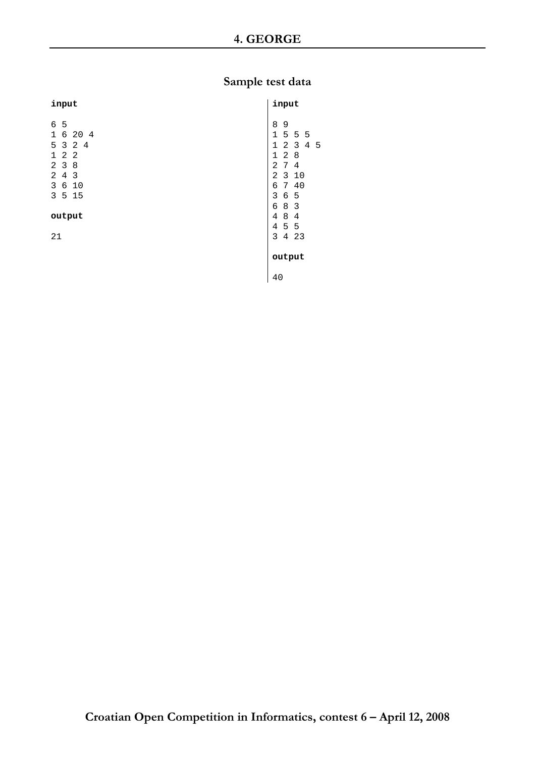# **Sample test data**

| input                                                                                                                            | input                                                                                                                                                                                         |  |
|----------------------------------------------------------------------------------------------------------------------------------|-----------------------------------------------------------------------------------------------------------------------------------------------------------------------------------------------|--|
| 6 5<br>6 20 4<br>$\mathbf{1}$<br>5 3 2 4<br>$1\quad2\quad2$<br>238<br>4 <sub>3</sub><br>$\overline{2}$<br>3<br>6 10<br>3<br>5 15 | 8<br>9<br>1<br>5 5 5<br>2 <sub>3</sub><br>$\mathbf{1}$<br>4<br>-5<br>28<br>$\mathbf 1$<br>2<br>$7^{\circ}$<br>4<br>$\overline{a}$<br>$\mathbf{3}$<br>10<br>40<br>6<br>$7^{\circ}$<br>3<br>6 5 |  |
| output<br>21                                                                                                                     | 8 3<br>б<br>8<br>$\overline{4}$<br>$\overline{4}$<br>4<br>5 5<br>3<br>$\overline{4}$<br>23                                                                                                    |  |
|                                                                                                                                  | output<br>40                                                                                                                                                                                  |  |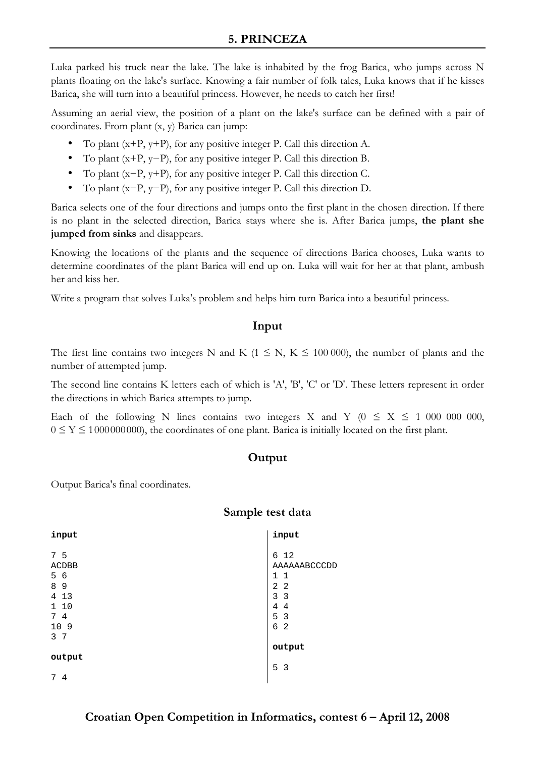Luka parked his truck near the lake. The lake is inhabited by the frog Barica, who jumps across N plants floating on the lake's surface. Knowing a fair number of folk tales, Luka knows that if he kisses Barica, she will turn into a beautiful princess. However, he needs to catch her first!

Assuming an aerial view, the position of a plant on the lake's surface can be defined with a pair of coordinates. From plant (x, y) Barica can jump:

- To plant  $(x+P, y+P)$ , for any positive integer P. Call this direction A.
- To plant  $(x+P, y-P)$ , for any positive integer P. Call this direction B.
- To plant  $(x-P, y+P)$ , for any positive integer P. Call this direction C.
- To plant (x−P, y−P), for any positive integer P. Call this direction D.

Barica selects one of the four directions and jumps onto the first plant in the chosen direction. If there is no plant in the selected direction, Barica stays where she is. After Barica jumps, **the plant she jumped from sinks** and disappears.

Knowing the locations of the plants and the sequence of directions Barica chooses, Luka wants to determine coordinates of the plant Barica will end up on. Luka will wait for her at that plant, ambush her and kiss her.

Write a program that solves Luka's problem and helps him turn Barica into a beautiful princess.

# **Input**

The first line contains two integers N and K ( $1 \le N$ , K  $\le 100000$ ), the number of plants and the number of attempted jump.

The second line contains K letters each of which is 'A', 'B', 'C' or 'D'. These letters represent in order the directions in which Barica attempts to jump.

Each of the following N lines contains two integers X and Y ( $0 \le X \le 100000000$ ,  $0 \le Y \le 1000000000$ , the coordinates of one plant. Barica is initially located on the first plant.

# **Output**

Output Barica's final coordinates.

## **Sample test data**

| input                                         | input                                                                 |
|-----------------------------------------------|-----------------------------------------------------------------------|
| - 5<br>7<br>ACDBB<br>5 6<br>8<br>9<br>13<br>4 | 6 12<br>AAAAAABCCCDD<br>$1\quad1$<br>2 <sub>2</sub><br>3 <sup>3</sup> |
| 1 10<br>4<br>7<br>10 9                        | 4<br>$\overline{4}$<br>5 <sub>3</sub><br>6<br>-2                      |
| 7<br>3                                        | output                                                                |
| output<br>4<br>7                              | 5 <sub>3</sub>                                                        |